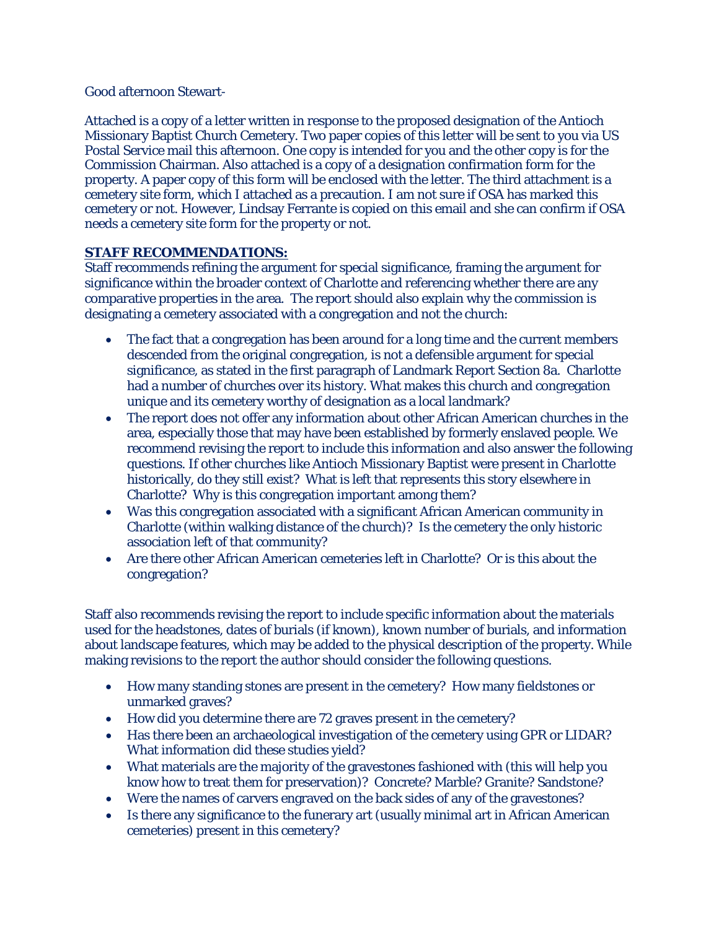## Good afternoon Stewart-

Attached is a copy of a letter written in response to the proposed designation of the Antioch Missionary Baptist Church Cemetery. Two paper copies of this letter will be sent to you via US Postal Service mail this afternoon. One copy is intended for you and the other copy is for the Commission Chairman. Also attached is a copy of a designation confirmation form for the property. A paper copy of this form will be enclosed with the letter. The third attachment is a cemetery site form, which I attached as a precaution. I am not sure if OSA has marked this cemetery or not. However, Lindsay Ferrante is copied on this email and she can confirm if OSA needs a cemetery site form for the property or not.

## **STAFF RECOMMENDATIONS:**

Staff recommends refining the argument for special significance, framing the argument for significance within the broader context of Charlotte and referencing whether there are any comparative properties in the area. The report should also explain why the commission is designating a cemetery associated with a congregation and not the church:

- The fact that a congregation has been around for a long time and the current members descended from the original congregation, is not a defensible argument for special significance, as stated in the first paragraph of Landmark Report Section 8a. Charlotte had a number of churches over its history. What makes this church and congregation unique and its cemetery worthy of designation as a local landmark?
- The report does not offer any information about other African American churches in the area, especially those that may have been established by formerly enslaved people. We recommend revising the report to include this information and also answer the following questions. If other churches like Antioch Missionary Baptist were present in Charlotte historically, do they still exist? What is left that represents this story elsewhere in Charlotte? Why is this congregation important among them?
- Was this congregation associated with a significant African American community in Charlotte (within walking distance of the church)? Is the cemetery the only historic association left of that community?
- Are there other African American cemeteries left in Charlotte? Or is this about the congregation?

Staff also recommends revising the report to include specific information about the materials used for the headstones, dates of burials (if known), known number of burials, and information about landscape features, which may be added to the physical description of the property. While making revisions to the report the author should consider the following questions.

- How many standing stones are present in the cemetery? How many fieldstones or unmarked graves?
- How did you determine there are 72 graves present in the cemetery?
- Has there been an archaeological investigation of the cemetery using GPR or LIDAR? What information did these studies yield?
- What materials are the majority of the gravestones fashioned with (this will help you know how to treat them for preservation)? Concrete? Marble? Granite? Sandstone?
- Were the names of carvers engraved on the back sides of any of the gravestones?
- Is there any significance to the funerary art (usually minimal art in African American cemeteries) present in this cemetery?